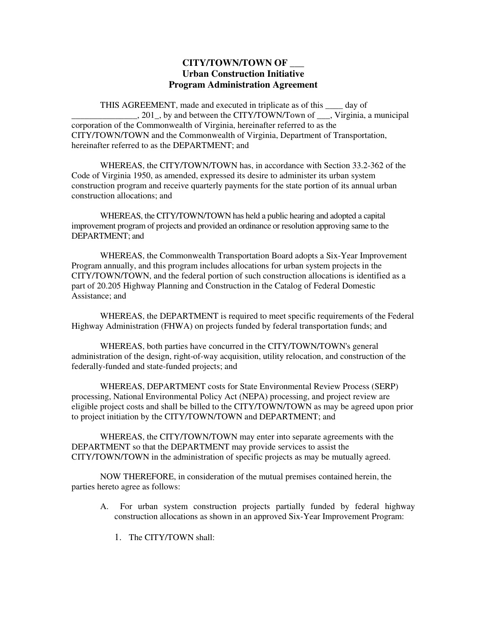## **CITY/TOWN/TOWN OF \_\_\_ Urban Construction Initiative Program Administration Agreement**

THIS AGREEMENT, made and executed in triplicate as of this \_\_\_\_ day of . 201, by and between the CITY/TOWN/Town of . Virginia, a municipal corporation of the Commonwealth of Virginia, hereinafter referred to as the CITY/TOWN/TOWN and the Commonwealth of Virginia, Department of Transportation, hereinafter referred to as the DEPARTMENT; and

 WHEREAS, the CITY/TOWN/TOWN has, in accordance with Section 33.2-362 of the Code of Virginia 1950, as amended, expressed its desire to administer its urban system construction program and receive quarterly payments for the state portion of its annual urban construction allocations; and

 WHEREAS, the CITY/TOWN/TOWN has held a public hearing and adopted a capital improvement program of projects and provided an ordinance or resolution approving same to the DEPARTMENT; and

 WHEREAS, the Commonwealth Transportation Board adopts a Six-Year Improvement Program annually, and this program includes allocations for urban system projects in the CITY/TOWN/TOWN, and the federal portion of such construction allocations is identified as a part of 20.205 Highway Planning and Construction in the Catalog of Federal Domestic Assistance; and

 WHEREAS, the DEPARTMENT is required to meet specific requirements of the Federal Highway Administration (FHWA) on projects funded by federal transportation funds; and

 WHEREAS, both parties have concurred in the CITY/TOWN/TOWN's general administration of the design, right-of-way acquisition, utility relocation, and construction of the federally-funded and state-funded projects; and

 WHEREAS, DEPARTMENT costs for State Environmental Review Process (SERP) processing, National Environmental Policy Act (NEPA) processing, and project review are eligible project costs and shall be billed to the CITY/TOWN/TOWN as may be agreed upon prior to project initiation by the CITY/TOWN/TOWN and DEPARTMENT; and

 WHEREAS, the CITY/TOWN/TOWN may enter into separate agreements with the DEPARTMENT so that the DEPARTMENT may provide services to assist the CITY/TOWN/TOWN in the administration of specific projects as may be mutually agreed.

 NOW THEREFORE, in consideration of the mutual premises contained herein, the parties hereto agree as follows:

- A. For urban system construction projects partially funded by federal highway construction allocations as shown in an approved Six-Year Improvement Program:
	- 1. The CITY/TOWN shall: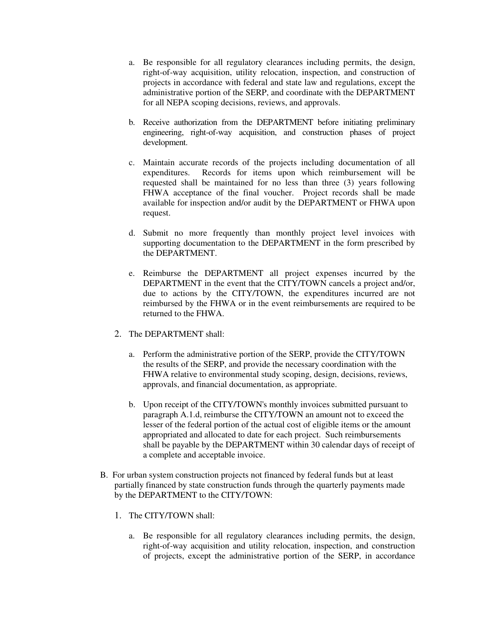- a. Be responsible for all regulatory clearances including permits, the design, right-of-way acquisition, utility relocation, inspection, and construction of projects in accordance with federal and state law and regulations, except the administrative portion of the SERP, and coordinate with the DEPARTMENT for all NEPA scoping decisions, reviews, and approvals.
- b. Receive authorization from the DEPARTMENT before initiating preliminary engineering, right-of-way acquisition, and construction phases of project development.
- c. Maintain accurate records of the projects including documentation of all expenditures. Records for items upon which reimbursement will be requested shall be maintained for no less than three (3) years following FHWA acceptance of the final voucher. Project records shall be made available for inspection and/or audit by the DEPARTMENT or FHWA upon request.
- d. Submit no more frequently than monthly project level invoices with supporting documentation to the DEPARTMENT in the form prescribed by the DEPARTMENT.
- e. Reimburse the DEPARTMENT all project expenses incurred by the DEPARTMENT in the event that the CITY/TOWN cancels a project and/or, due to actions by the CITY/TOWN, the expenditures incurred are not reimbursed by the FHWA or in the event reimbursements are required to be returned to the FHWA.
- 2. The DEPARTMENT shall:
	- a. Perform the administrative portion of the SERP, provide the CITY/TOWN the results of the SERP, and provide the necessary coordination with the FHWA relative to environmental study scoping, design, decisions, reviews, approvals, and financial documentation, as appropriate.
	- b. Upon receipt of the CITY/TOWN's monthly invoices submitted pursuant to paragraph A.1.d, reimburse the CITY/TOWN an amount not to exceed the lesser of the federal portion of the actual cost of eligible items or the amount appropriated and allocated to date for each project. Such reimbursements shall be payable by the DEPARTMENT within 30 calendar days of receipt of a complete and acceptable invoice.
- B. For urban system construction projects not financed by federal funds but at least partially financed by state construction funds through the quarterly payments made by the DEPARTMENT to the CITY/TOWN:
	- 1. The CITY/TOWN shall:
		- a. Be responsible for all regulatory clearances including permits, the design, right-of-way acquisition and utility relocation, inspection, and construction of projects, except the administrative portion of the SERP, in accordance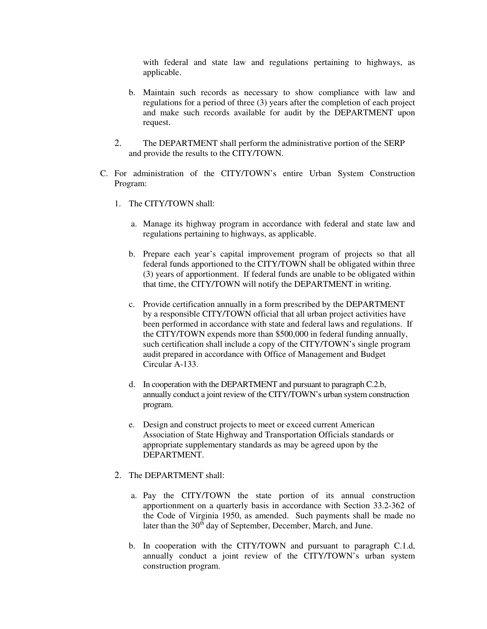with federal and state law and regulations pertaining to highways, as applicable.

- b. Maintain such records as necessary to show compliance with law and regulations for a period of three (3) years after the completion of each project and make such records available for audit by the DEPARTMENT upon request.
- 2. The DEPARTMENT shall perform the administrative portion of the SERP and provide the results to the CITY/TOWN.
- C. For administration of the CITY/TOWN's entire Urban System Construction Program:
	- 1. The CITY/TOWN shall:
		- a. Manage its highway program in accordance with federal and state law and regulations pertaining to highways, as applicable.
		- b. Prepare each year's capital improvement program of projects so that all federal funds apportioned to the CITY/TOWN shall be obligated within three (3) years of apportionment. If federal funds are unable to be obligated within that time, the CITY/TOWN will notify the DEPARTMENT in writing.
		- c. Provide certification annually in a form prescribed by the DEPARTMENT by a responsible CITY/TOWN official that all urban project activities have been performed in accordance with state and federal laws and regulations. If the CITY/TOWN expends more than \$500,000 in federal funding annually, such certification shall include a copy of the CITY/TOWN's single program audit prepared in accordance with Office of Management and Budget Circular A-133.
		- d. In cooperation with the DEPARTMENT and pursuant to paragraph C.2.b, annually conduct a joint review of the CITY/TOWN's urban system construction program.
		- e. Design and construct projects to meet or exceed current American Association of State Highway and Transportation Officials standards or appropriate supplementary standards as may be agreed upon by the DEPARTMENT.
	- 2. The DEPARTMENT shall:
		- a. Pay the CITY/TOWN the state portion of its annual construction apportionment on a quarterly basis in accordance with Section 33.2-362 of the Code of Virginia 1950, as amended. Such payments shall be made no later than the  $30<sup>th</sup>$  day of September, December, March, and June.
		- b. In cooperation with the CITY/TOWN and pursuant to paragraph C.1.d, annually conduct a joint review of the CITY/TOWN's urban system construction program.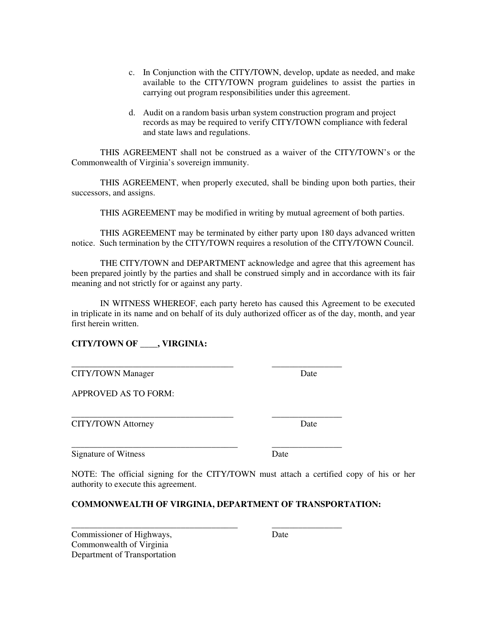- c. In Conjunction with the CITY/TOWN, develop, update as needed, and make available to the CITY/TOWN program guidelines to assist the parties in carrying out program responsibilities under this agreement.
- d. Audit on a random basis urban system construction program and project records as may be required to verify CITY/TOWN compliance with federal and state laws and regulations.

 THIS AGREEMENT shall not be construed as a waiver of the CITY/TOWN's or the Commonwealth of Virginia's sovereign immunity.

 THIS AGREEMENT, when properly executed, shall be binding upon both parties, their successors, and assigns.

THIS AGREEMENT may be modified in writing by mutual agreement of both parties.

 THIS AGREEMENT may be terminated by either party upon 180 days advanced written notice. Such termination by the CITY/TOWN requires a resolution of the CITY/TOWN Council.

 THE CITY/TOWN and DEPARTMENT acknowledge and agree that this agreement has been prepared jointly by the parties and shall be construed simply and in accordance with its fair meaning and not strictly for or against any party.

 IN WITNESS WHEREOF, each party hereto has caused this Agreement to be executed in triplicate in its name and on behalf of its duly authorized officer as of the day, month, and year first herein written.

\_\_\_\_\_\_\_\_\_\_\_\_\_\_\_\_\_\_\_\_\_\_\_\_\_\_\_\_\_\_\_\_\_\_\_\_\_ \_\_\_\_\_\_\_\_\_\_\_\_\_\_\_\_

\_\_\_\_\_\_\_\_\_\_\_\_\_\_\_\_\_\_\_\_\_\_\_\_\_\_\_\_\_\_\_\_\_\_\_\_\_\_ \_\_\_\_\_\_\_\_\_\_\_\_\_\_\_\_

\_\_\_\_\_\_\_\_\_\_\_\_\_\_\_\_\_\_\_\_\_\_\_\_\_\_\_\_\_\_\_\_\_\_\_\_\_\_ \_\_\_\_\_\_\_\_\_\_\_\_\_\_\_\_

## **CITY/TOWN OF \_\_\_\_, VIRGINIA:**

| <b>CITY/TOWN</b> Manager | Date |
|--------------------------|------|
|--------------------------|------|

APPROVED AS TO FORM:

CITY/TOWN Attorney Date

Signature of Witness Date

NOTE: The official signing for the CITY/TOWN must attach a certified copy of his or her authority to execute this agreement.

## **COMMONWEALTH OF VIRGINIA, DEPARTMENT OF TRANSPORTATION:**

| Commissioner of Highways,    | Date |
|------------------------------|------|
| Commonwealth of Virginia     |      |
| Department of Transportation |      |

\_\_\_\_\_\_\_\_\_\_\_\_\_\_\_\_\_\_\_\_\_\_\_\_\_\_\_\_\_\_\_\_\_\_\_\_\_ \_\_\_\_\_\_\_\_\_\_\_\_\_\_\_\_